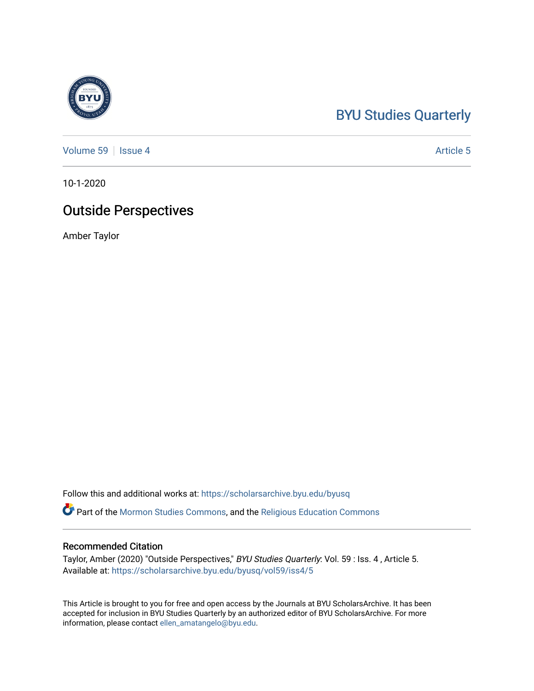## [BYU Studies Quarterly](https://scholarsarchive.byu.edu/byusq)

[Volume 59](https://scholarsarchive.byu.edu/byusq/vol59) | [Issue 4](https://scholarsarchive.byu.edu/byusq/vol59/iss4) Article 5

10-1-2020

## Outside Perspectives

Amber Taylor

Follow this and additional works at: [https://scholarsarchive.byu.edu/byusq](https://scholarsarchive.byu.edu/byusq?utm_source=scholarsarchive.byu.edu%2Fbyusq%2Fvol59%2Fiss4%2F5&utm_medium=PDF&utm_campaign=PDFCoverPages) 

Part of the [Mormon Studies Commons](http://network.bepress.com/hgg/discipline/1360?utm_source=scholarsarchive.byu.edu%2Fbyusq%2Fvol59%2Fiss4%2F5&utm_medium=PDF&utm_campaign=PDFCoverPages), and the [Religious Education Commons](http://network.bepress.com/hgg/discipline/1414?utm_source=scholarsarchive.byu.edu%2Fbyusq%2Fvol59%2Fiss4%2F5&utm_medium=PDF&utm_campaign=PDFCoverPages) 

## Recommended Citation

Taylor, Amber (2020) "Outside Perspectives," BYU Studies Quarterly: Vol. 59 : Iss. 4 , Article 5. Available at: [https://scholarsarchive.byu.edu/byusq/vol59/iss4/5](https://scholarsarchive.byu.edu/byusq/vol59/iss4/5?utm_source=scholarsarchive.byu.edu%2Fbyusq%2Fvol59%2Fiss4%2F5&utm_medium=PDF&utm_campaign=PDFCoverPages)

This Article is brought to you for free and open access by the Journals at BYU ScholarsArchive. It has been accepted for inclusion in BYU Studies Quarterly by an authorized editor of BYU ScholarsArchive. For more information, please contact [ellen\\_amatangelo@byu.edu.](mailto:ellen_amatangelo@byu.edu)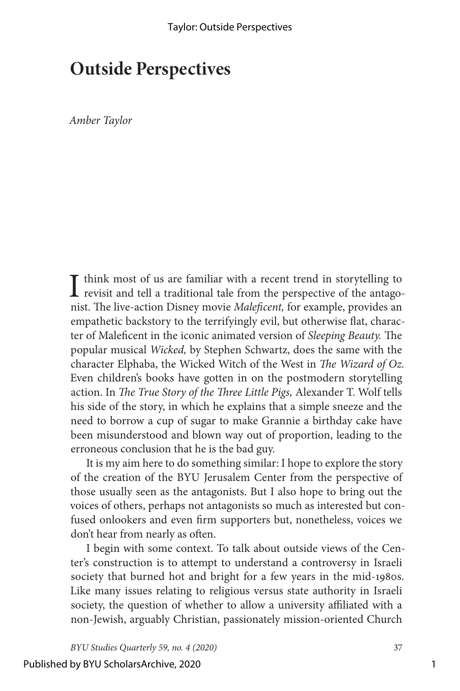## **Outside Perspectives**

*Amber Taylor*

 $\prod$  think most of us are familiar with a recent trend in storytelling to revisit and tell a traditional tale from the perspective of the antagonist. The live-action Disney movie *Maleficent,* for example, provides an empathetic backstory to the terrifyingly evil, but otherwise flat, character of Maleficent in the iconic animated version of *Sleeping Beauty.* The popular musical *Wicked,* by Stephen Schwartz, does the same with the character Elphaba, the Wicked Witch of the West in *The Wizard of Oz.* Even children's books have gotten in on the postmodern storytelling action. In *The True Story of the Three Little Pigs,* Alexander T. Wolf tells his side of the story, in which he explains that a simple sneeze and the need to borrow a cup of sugar to make Grannie a birthday cake have been misunderstood and blown way out of proportion, leading to the erroneous conclusion that he is the bad guy.

It is my aim here to do something similar: I hope to explore the story of the creation of the BYU Jerusalem Center from the perspective of those usually seen as the antagonists. But I also hope to bring out the voices of others, perhaps not antagonists so much as interested but confused onlookers and even firm supporters but, nonetheless, voices we don't hear from nearly as often.

I begin with some context. To talk about outside views of the Center's construction is to attempt to understand a controversy in Israeli society that burned hot and bright for a few years in the mid-1980s. Like many issues relating to religious versus state authority in Israeli society, the question of whether to allow a university affiliated with a non-Jewish, arguably Christian, passionately mission-oriented Church

*BYU Studies Quarterly 59, no. 4 (2020)* 37

1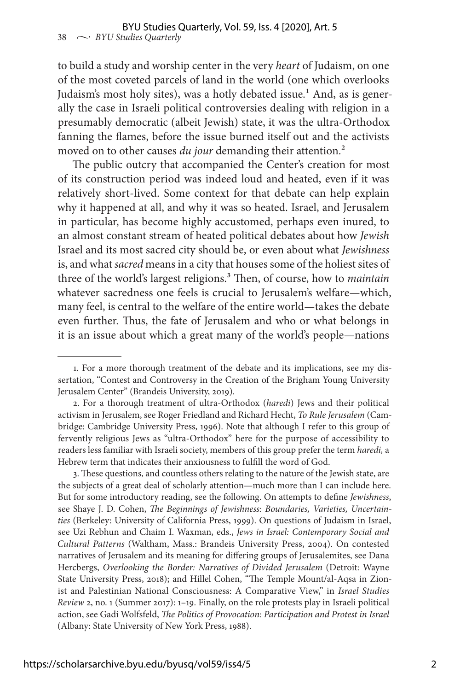to build a study and worship center in the very *heart* of Judaism, on one of the most coveted parcels of land in the world (one which overlooks Judaism's most holy sites), was a hotly debated issue.<sup>1</sup> And, as is generally the case in Israeli political controversies dealing with religion in a presumably democratic (albeit Jewish) state, it was the ultra-Orthodox fanning the flames, before the issue burned itself out and the activists moved on to other causes *du jour* demanding their attention.<sup>2</sup>

The public outcry that accompanied the Center's creation for most of its construction period was indeed loud and heated, even if it was relatively short-lived. Some context for that debate can help explain why it happened at all, and why it was so heated. Israel, and Jerusalem in particular, has become highly accustomed, perhaps even inured, to an almost constant stream of heated political debates about how *Jewish* Israel and its most sacred city should be, or even about what *Jewishness*  is, and what *sacred* means in a city that houses some of the holiest sites of three of the world's largest religions.<sup>3</sup> Then, of course, how to *maintain* whatever sacredness one feels is crucial to Jerusalem's welfare—which, many feel, is central to the welfare of the entire world—takes the debate even further. Thus, the fate of Jerusalem and who or what belongs in it is an issue about which a great many of the world's people—nations

3. These questions, and countless others relating to the nature of the Jewish state, are the subjects of a great deal of scholarly attention—much more than I can include here. But for some introductory reading, see the following. On attempts to define *Jewishness*, see Shaye J. D. Cohen, *The Beginnings of Jewishness: Boundaries, Varieties, Uncertainties* (Berkeley: University of California Press, 1999). On questions of Judaism in Israel, see Uzi Rebhun and Chaim I. Waxman, eds., *Jews in Israel: Contemporary Social and Cultural Patterns* (Waltham, Mass.: Brandeis University Press, 2004). On contested narratives of Jerusalem and its meaning for differing groups of Jerusalemites, see Dana Hercbergs, *Overlooking the Border: Narratives of Divided Jerusalem* (Detroit: Wayne State University Press, 2018); and Hillel Cohen, "The Temple Mount/al-Aqsa in Zionist and Palestinian National Consciousness: A Comparative View," in *Israel Studies Review* 2, no. 1 (Summer 2017): 1–19. Finally, on the role protests play in Israeli political action, see Gadi Wolfsfeld, *The Politics of Provocation: Participation and Protest in Israel*  (Albany: State University of New York Press, 1988).

<sup>1.</sup> For a more thorough treatment of the debate and its implications, see my dissertation, "Contest and Controversy in the Creation of the Brigham Young University Jerusalem Center" (Brandeis University, 2019).

<sup>2.</sup> For a thorough treatment of ultra-Orthodox (*haredi*) Jews and their political activism in Jerusalem, see Roger Friedland and Richard Hecht, *To Rule Jerusalem* (Cambridge: Cambridge University Press, 1996). Note that although I refer to this group of fervently religious Jews as "ultra-Orthodox" here for the purpose of accessibility to readers less familiar with Israeli society, members of this group prefer the term *haredi,* a Hebrew term that indicates their anxiousness to fulfill the word of God.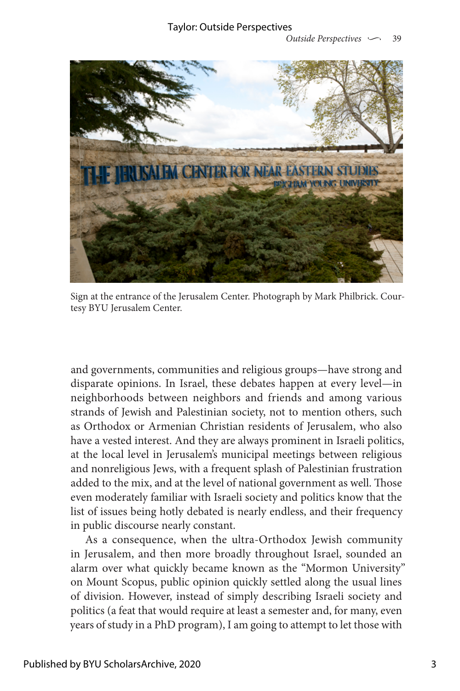

Sign at the entrance of the Jerusalem Center. Photograph by Mark Philbrick. Courtesy BYU Jerusalem Center.

and governments, communities and religious groups—have strong and disparate opinions. In Israel, these debates happen at every level—in neighborhoods between neighbors and friends and among various strands of Jewish and Palestinian society, not to mention others, such as Orthodox or Armenian Christian residents of Jerusalem, who also have a vested interest. And they are always prominent in Israeli politics, at the local level in Jerusalem's municipal meetings between religious and nonreligious Jews, with a frequent splash of Palestinian frustration added to the mix, and at the level of national government as well. Those even moderately familiar with Israeli society and politics know that the list of issues being hotly debated is nearly endless, and their frequency in public discourse nearly constant.

As a consequence, when the ultra-Orthodox Jewish community in Jerusalem, and then more broadly throughout Israel, sounded an alarm over what quickly became known as the "Mormon University" on Mount Scopus, public opinion quickly settled along the usual lines of division. However, instead of simply describing Israeli society and politics (a feat that would require at least a semester and, for many, even years of study in a PhD program), I am going to attempt to let those with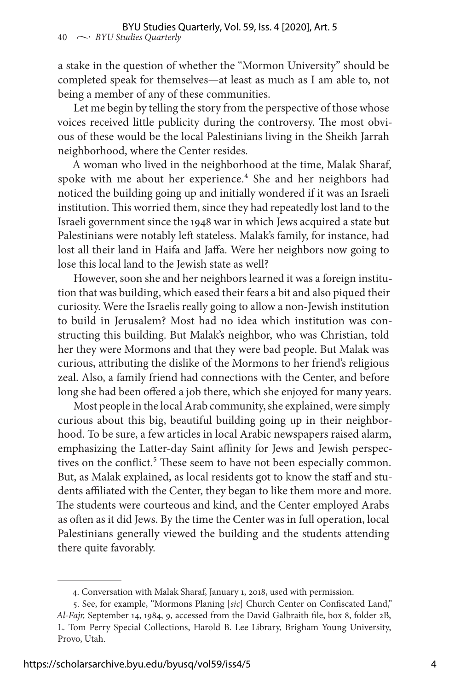a stake in the question of whether the "Mormon University" should be completed speak for themselves—at least as much as I am able to, not being a member of any of these communities.

Let me begin by telling the story from the perspective of those whose voices received little publicity during the controversy. The most obvious of these would be the local Palestinians living in the Sheikh Jarrah neighborhood, where the Center resides.

A woman who lived in the neighborhood at the time, Malak Sharaf, spoke with me about her experience.<sup>4</sup> She and her neighbors had noticed the building going up and initially wondered if it was an Israeli institution. This worried them, since they had repeatedly lost land to the Israeli government since the 1948 war in which Jews acquired a state but Palestinians were notably left stateless. Malak's family, for instance, had lost all their land in Haifa and Jaffa. Were her neighbors now going to lose this local land to the Jewish state as well?

However, soon she and her neighbors learned it was a foreign institution that was building, which eased their fears a bit and also piqued their curiosity. Were the Israelis really going to allow a non-Jewish institution to build in Jerusalem? Most had no idea which institution was constructing this building. But Malak's neighbor, who was Christian, told her they were Mormons and that they were bad people. But Malak was curious, attributing the dislike of the Mormons to her friend's religious zeal. Also, a family friend had connections with the Center, and before long she had been offered a job there, which she enjoyed for many years.

Most people in the local Arab community, she explained, were simply curious about this big, beautiful building going up in their neighborhood. To be sure, a few articles in local Arabic newspapers raised alarm, emphasizing the Latter-day Saint affinity for Jews and Jewish perspectives on the conflict.<sup>5</sup> These seem to have not been especially common. But, as Malak explained, as local residents got to know the staff and students affiliated with the Center, they began to like them more and more. The students were courteous and kind, and the Center employed Arabs as often as it did Jews. By the time the Center was in full operation, local Palestinians generally viewed the building and the students attending there quite favorably.

<sup>4.</sup> Conversation with Malak Sharaf, January 1, 2018, used with permission.

<sup>5.</sup> See, for example, "Mormons Planing [*sic*] Church Center on Confiscated Land," *Al-Fajr,* September 14, 1984, 9, accessed from the David Galbraith file, box 8, folder 2B, L. Tom Perry Special Collections, Harold B. Lee Library, Brigham Young University, Provo, Utah.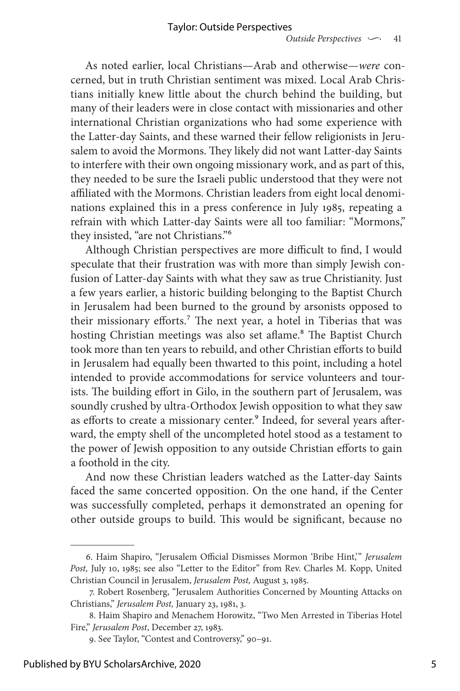As noted earlier, local Christians—Arab and otherwise—*were* concerned, but in truth Christian sentiment was mixed. Local Arab Christians initially knew little about the church behind the building, but many of their leaders were in close contact with missionaries and other international Christian organizations who had some experience with the Latter-day Saints, and these warned their fellow religionists in Jerusalem to avoid the Mormons. They likely did not want Latter-day Saints to interfere with their own ongoing missionary work, and as part of this, they needed to be sure the Israeli public understood that they were not affiliated with the Mormons. Christian leaders from eight local denominations explained this in a press conference in July 1985, repeating a refrain with which Latter-day Saints were all too familiar: "Mormons," they insisted, "are not Christians."6

Although Christian perspectives are more difficult to find, I would speculate that their frustration was with more than simply Jewish confusion of Latter-day Saints with what they saw as true Christianity. Just a few years earlier, a historic building belonging to the Baptist Church in Jerusalem had been burned to the ground by arsonists opposed to their missionary efforts.<sup>7</sup> The next year, a hotel in Tiberias that was hosting Christian meetings was also set aflame.<sup>8</sup> The Baptist Church took more than ten years to rebuild, and other Christian efforts to build in Jerusalem had equally been thwarted to this point, including a hotel intended to provide accommodations for service volunteers and tourists. The building effort in Gilo, in the southern part of Jerusalem, was soundly crushed by ultra-Orthodox Jewish opposition to what they saw as efforts to create a missionary center.<sup>9</sup> Indeed, for several years afterward, the empty shell of the uncompleted hotel stood as a testament to the power of Jewish opposition to any outside Christian efforts to gain a foothold in the city.

And now these Christian leaders watched as the Latter-day Saints faced the same concerted opposition. On the one hand, if the Center was successfully completed, perhaps it demonstrated an opening for other outside groups to build. This would be significant, because no

<sup>6.</sup> Haim Shapiro, "Jerusalem Official Dismisses Mormon 'Bribe Hint,'" *Jerusalem Post,* July 10, 1985; see also "Letter to the Editor" from Rev. Charles M. Kopp, United Christian Council in Jerusalem, *Jerusalem Post,* August 3, 1985.

<sup>7.</sup> Robert Rosenberg, "Jerusalem Authorities Concerned by Mounting Attacks on Christians," *Jerusalem Post,* January 23, 1981, 3.

<sup>8.</sup> Haim Shapiro and Menachem Horowitz, "Two Men Arrested in Tiberias Hotel Fire," *Jerusalem Post*, December 27, 1983.

<sup>9.</sup> See Taylor, "Contest and Controversy," 90–91.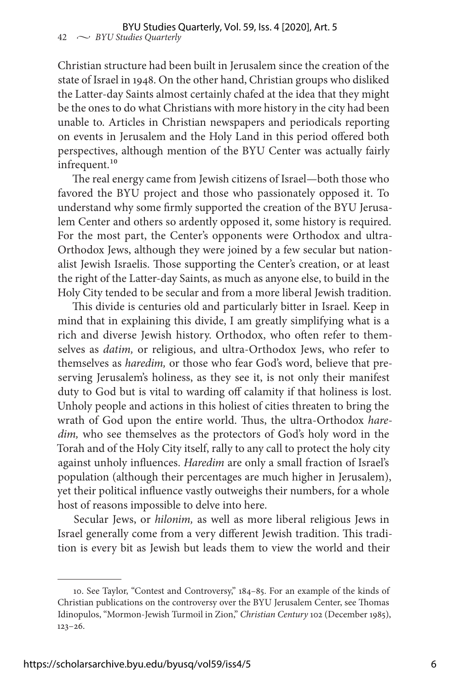Christian structure had been built in Jerusalem since the creation of the state of Israel in 1948. On the other hand, Christian groups who disliked the Latter-day Saints almost certainly chafed at the idea that they might be the ones to do what Christians with more history in the city had been unable to. Articles in Christian newspapers and periodicals reporting on events in Jerusalem and the Holy Land in this period offered both perspectives, although mention of the BYU Center was actually fairly infrequent.<sup>10</sup>

The real energy came from Jewish citizens of Israel—both those who favored the BYU project and those who passionately opposed it. To understand why some firmly supported the creation of the BYU Jerusalem Center and others so ardently opposed it, some history is required. For the most part, the Center's opponents were Orthodox and ultra-Orthodox Jews, although they were joined by a few secular but nationalist Jewish Israelis. Those supporting the Center's creation, or at least the right of the Latter-day Saints, as much as anyone else, to build in the Holy City tended to be secular and from a more liberal Jewish tradition.

This divide is centuries old and particularly bitter in Israel. Keep in mind that in explaining this divide, I am greatly simplifying what is a rich and diverse Jewish history. Orthodox, who often refer to themselves as *datim,* or religious, and ultra-Orthodox Jews, who refer to themselves as *haredim,* or those who fear God's word, believe that preserving Jerusalem's holiness, as they see it, is not only their manifest duty to God but is vital to warding off calamity if that holiness is lost. Unholy people and actions in this holiest of cities threaten to bring the wrath of God upon the entire world. Thus, the ultra-Orthodox *haredim,* who see themselves as the protectors of God's holy word in the Torah and of the Holy City itself, rally to any call to protect the holy city against unholy influences. *Haredim* are only a small fraction of Israel's population (although their percentages are much higher in Jerusalem), yet their political influence vastly outweighs their numbers, for a whole host of reasons impossible to delve into here.

Secular Jews, or *hilonim,* as well as more liberal religious Jews in Israel generally come from a very different Jewish tradition. This tradition is every bit as Jewish but leads them to view the world and their

<sup>10.</sup> See Taylor, "Contest and Controversy," 184–85. For an example of the kinds of Christian publications on the controversy over the BYU Jerusalem Center, see Thomas Idinopulos, "Mormon-Jewish Turmoil in Zion," *Christian Century* 102 (December 1985), 123–26.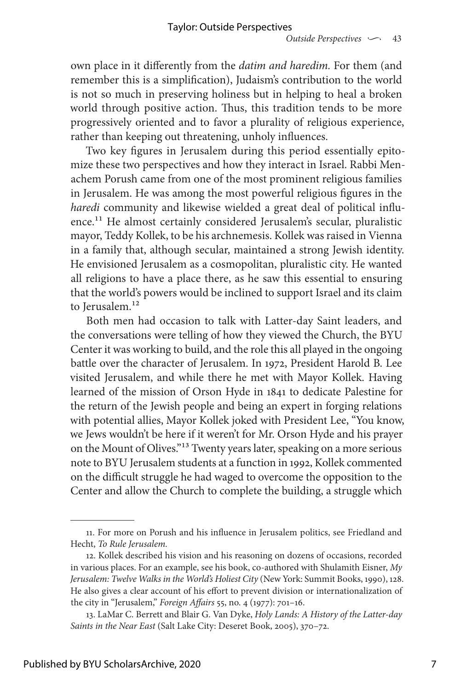own place in it differently from the *datim and haredim.* For them (and remember this is a simplification), Judaism's contribution to the world is not so much in preserving holiness but in helping to heal a broken world through positive action. Thus, this tradition tends to be more progressively oriented and to favor a plurality of religious experience, rather than keeping out threatening, unholy influences.

Two key figures in Jerusalem during this period essentially epitomize these two perspectives and how they interact in Israel. Rabbi Menachem Porush came from one of the most prominent religious families in Jerusalem. He was among the most powerful religious figures in the *haredi* community and likewise wielded a great deal of political influence.11 He almost certainly considered Jerusalem's secular, pluralistic mayor, Teddy Kollek, to be his archnemesis. Kollek was raised in Vienna in a family that, although secular, maintained a strong Jewish identity. He envisioned Jerusalem as a cosmopolitan, pluralistic city. He wanted all religions to have a place there, as he saw this essential to ensuring that the world's powers would be inclined to support Israel and its claim to Jerusalem.<sup>12</sup>

Both men had occasion to talk with Latter-day Saint leaders, and the conversations were telling of how they viewed the Church, the BYU Center it was working to build, and the role this all played in the ongoing battle over the character of Jerusalem. In 1972, President Harold B. Lee visited Jerusalem, and while there he met with Mayor Kollek. Having learned of the mission of Orson Hyde in 1841 to dedicate Palestine for the return of the Jewish people and being an expert in forging relations with potential allies, Mayor Kollek joked with President Lee, "You know, we Jews wouldn't be here if it weren't for Mr. Orson Hyde and his prayer on the Mount of Olives."13 Twenty years later, speaking on a more serious note to BYU Jerusalem students at a function in 1992, Kollek commented on the difficult struggle he had waged to overcome the opposition to the Center and allow the Church to complete the building, a struggle which

<sup>11.</sup> For more on Porush and his influence in Jerusalem politics, see Friedland and Hecht, *To Rule Jerusalem.*

<sup>12.</sup> Kollek described his vision and his reasoning on dozens of occasions, recorded in various places. For an example, see his book, co-authored with Shulamith Eisner, *My Jerusalem: Twelve Walks in the World's Holiest City* (New York: Summit Books, 1990), 128. He also gives a clear account of his effort to prevent division or internationalization of the city in "Jerusalem," *Foreign Affairs* 55, no. 4 (1977): 701–16.

<sup>13.</sup> LaMar C. Berrett and Blair G. Van Dyke, *Holy Lands: A History of the Latter-day Saints in the Near East* (Salt Lake City: Deseret Book, 2005), 370–72.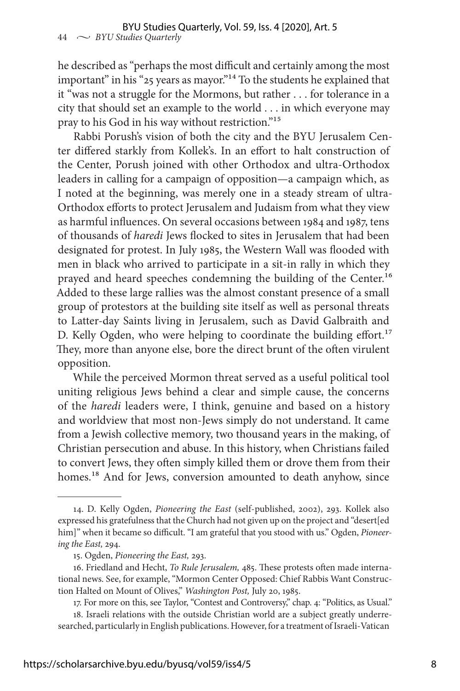he described as "perhaps the most difficult and certainly among the most important" in his "25 years as mayor."14 To the students he explained that it "was not a struggle for the Mormons, but rather . . . for tolerance in a city that should set an example to the world . . . in which everyone may pray to his God in his way without restriction."15

Rabbi Porush's vision of both the city and the BYU Jerusalem Center differed starkly from Kollek's. In an effort to halt construction of the Center, Porush joined with other Orthodox and ultra-Orthodox leaders in calling for a campaign of opposition—a campaign which, as I noted at the beginning, was merely one in a steady stream of ultra-Orthodox efforts to protect Jerusalem and Judaism from what they view as harmful influences. On several occasions between 1984 and 1987, tens of thousands of *haredi* Jews flocked to sites in Jerusalem that had been designated for protest. In July 1985, the Western Wall was flooded with men in black who arrived to participate in a sit-in rally in which they prayed and heard speeches condemning the building of the Center.<sup>16</sup> Added to these large rallies was the almost constant presence of a small group of protestors at the building site itself as well as personal threats to Latter-day Saints living in Jerusalem, such as David Galbraith and D. Kelly Ogden, who were helping to coordinate the building effort.<sup>17</sup> They, more than anyone else, bore the direct brunt of the often virulent opposition.

While the perceived Mormon threat served as a useful political tool uniting religious Jews behind a clear and simple cause, the concerns of the *haredi* leaders were, I think, genuine and based on a history and worldview that most non-Jews simply do not understand. It came from a Jewish collective memory, two thousand years in the making, of Christian persecution and abuse. In this history, when Christians failed to convert Jews, they often simply killed them or drove them from their homes.<sup>18</sup> And for Jews, conversion amounted to death anyhow, since

<sup>14.</sup> D. Kelly Ogden, *Pioneering the East* (self-published, 2002), 293. Kollek also expressed his gratefulness that the Church had not given up on the project and "desert[ed him]" when it became so difficult. "I am grateful that you stood with us." Ogden, *Pioneering the East,* 294.

<sup>15.</sup> Ogden, *Pioneering the East,* 293.

<sup>16.</sup> Friedland and Hecht, *To Rule Jerusalem,* 485. These protests often made international news. See, for example, "Mormon Center Opposed: Chief Rabbis Want Construction Halted on Mount of Olives," *Washington Post,* July 20, 1985.

<sup>17.</sup> For more on this, see Taylor, "Contest and Controversy," chap. 4: "Politics, as Usual."

<sup>18.</sup> Israeli relations with the outside Christian world are a subject greatly underresearched, particularly in English publications. However, for a treatment of Israeli-Vatican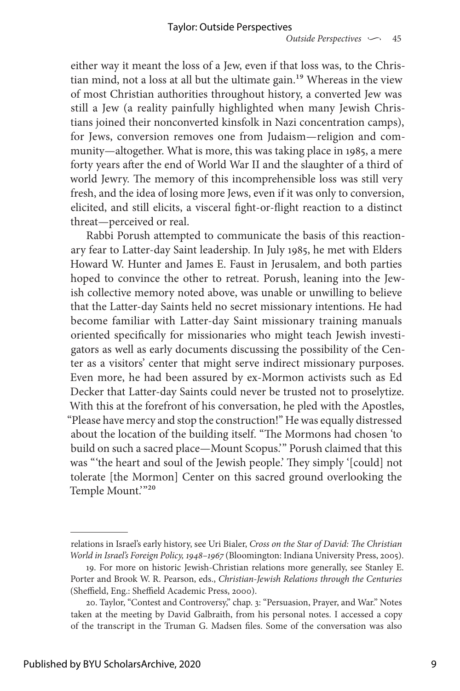either way it meant the loss of a Jew, even if that loss was, to the Christian mind, not a loss at all but the ultimate gain.<sup>19</sup> Whereas in the view of most Christian authorities throughout history, a converted Jew was still a Jew (a reality painfully highlighted when many Jewish Christians joined their nonconverted kinsfolk in Nazi concentration camps), for Jews, conversion removes one from Judaism—religion and community—altogether. What is more, this was taking place in 1985, a mere forty years after the end of World War II and the slaughter of a third of world Jewry. The memory of this incomprehensible loss was still very fresh, and the idea of losing more Jews, even if it was only to conversion, elicited, and still elicits, a visceral fight-or-flight reaction to a distinct threat—perceived or real.

Rabbi Porush attempted to communicate the basis of this reactionary fear to Latter-day Saint leadership. In July 1985, he met with Elders Howard W. Hunter and James E. Faust in Jerusalem, and both parties hoped to convince the other to retreat. Porush, leaning into the Jewish collective memory noted above, was unable or unwilling to believe that the Latter-day Saints held no secret missionary intentions. He had become familiar with Latter-day Saint missionary training manuals oriented specifically for missionaries who might teach Jewish investigators as well as early documents discussing the possibility of the Center as a visitors' center that might serve indirect missionary purposes. Even more, he had been assured by ex-Mormon activists such as Ed Decker that Latter-day Saints could never be trusted not to proselytize. With this at the forefront of his conversation, he pled with the Apostles, "Please have mercy and stop the construction!" He was equally distressed about the location of the building itself. "The Mormons had chosen 'to build on such a sacred place—Mount Scopus.'" Porush claimed that this was "'the heart and soul of the Jewish people.' They simply '[could] not tolerate [the Mormon] Center on this sacred ground overlooking the Temple Mount."20

relations in Israel's early history, see Uri Bialer, *Cross on the Star of David: The Christian World in Israel's Foreign Policy, 1948–1967* (Bloomington: Indiana University Press, 2005).

<sup>19.</sup> For more on historic Jewish-Christian relations more generally, see Stanley E. Porter and Brook W. R. Pearson, eds., *Christian-Jewish Relations through the Centuries* (Sheffield, Eng.: Sheffield Academic Press, 2000).

<sup>20.</sup> Taylor, "Contest and Controversy," chap. 3: "Persuasion, Prayer, and War." Notes taken at the meeting by David Galbraith, from his personal notes. I accessed a copy of the transcript in the Truman G. Madsen files. Some of the conversation was also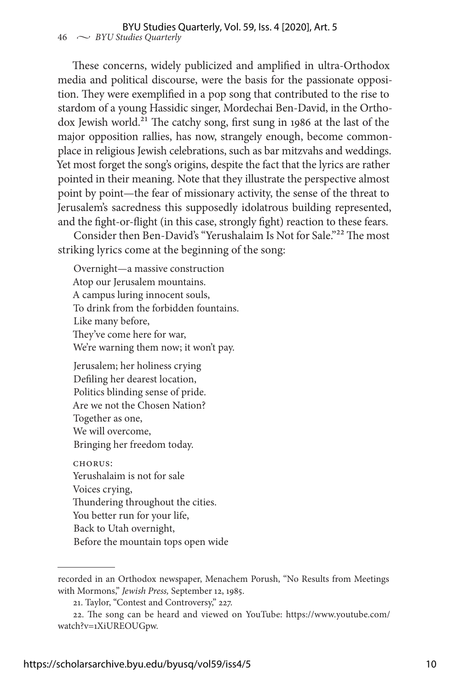These concerns, widely publicized and amplified in ultra-Orthodox media and political discourse, were the basis for the passionate opposition. They were exemplified in a pop song that contributed to the rise to stardom of a young Hassidic singer, Mordechai Ben-David, in the Orthodox Jewish world.<sup>21</sup> The catchy song, first sung in 1986 at the last of the major opposition rallies, has now, strangely enough, become commonplace in religious Jewish celebrations, such as bar mitzvahs and weddings. Yet most forget the song's origins, despite the fact that the lyrics are rather pointed in their meaning. Note that they illustrate the perspective almost point by point—the fear of missionary activity, the sense of the threat to Jerusalem's sacredness this supposedly idolatrous building represented, and the fight-or-flight (in this case, strongly fight) reaction to these fears.

Consider then Ben-David's "Yerushalaim Is Not for Sale."22 The most striking lyrics come at the beginning of the song:

Overnight—a massive construction Atop our Jerusalem mountains. A campus luring innocent souls, To drink from the forbidden fountains. Like many before, They've come here for war, We're warning them now; it won't pay.

Jerusalem; her holiness crying Defiling her dearest location, Politics blinding sense of pride. Are we not the Chosen Nation? Together as one, We will overcome, Bringing her freedom today.

CHORUS: Yerushalaim is not for sale Voices crying, Thundering throughout the cities. You better run for your life, Back to Utah overnight, Before the mountain tops open wide

recorded in an Orthodox newspaper, Menachem Porush, "No Results from Meetings with Mormons," *Jewish Press,* September 12, 1985.

<sup>21.</sup> Taylor, "Contest and Controversy," 227.

<sup>22.</sup> The song can be heard and viewed on YouTube: [https://www.youtube.com/](https://www.youtube.com/watch?v=1XiUREOUGpw) [watch?v=1XiUREOUGpw.](https://www.youtube.com/watch?v=1XiUREOUGpw)